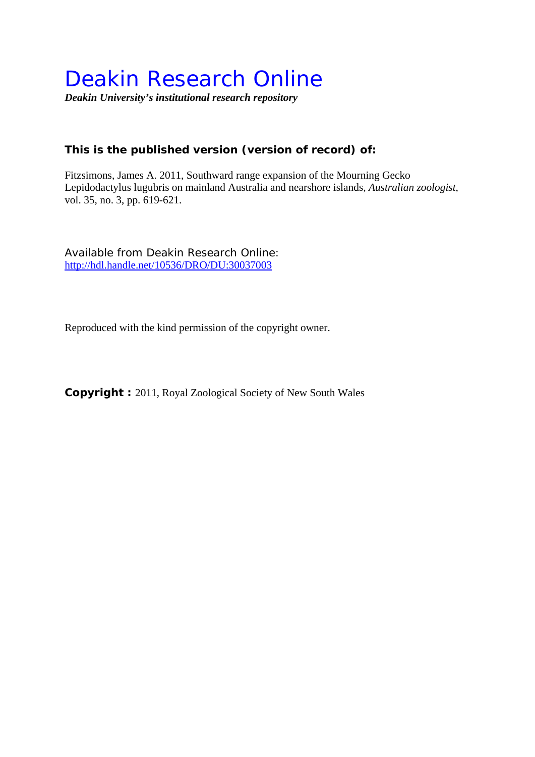# Deakin Research Online

*Deakin University's institutional research repository* 

# **This is the published version (version of record) of:**

Fitzsimons, James A. 2011, Southward range expansion of the Mourning Gecko Lepidodactylus lugubris on mainland Australia and nearshore islands*, Australian zoologist*, vol. 35, no. 3, pp. 619-621.

Available from Deakin Research Online: http://hdl.handle.net/10536/DRO/DU:30037003

Reproduced with the kind permission of the copyright owner.

**Copyright :** 2011, Royal Zoological Society of New South Wales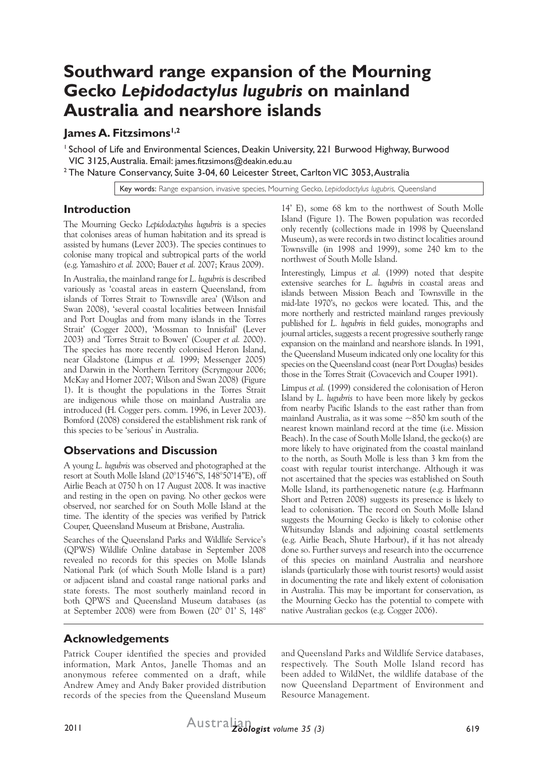# **Southward range expansion of the Mourning Gecko** *Lepidodactylus lugubris* **on mainland Australia and nearshore islands**

### **James A. Fitzsimons**<sup>1,2</sup>

1 School of Life and Environmental Sciences, Deakin University, 221 Burwood Highway, Burwood VIC 3125, Australia. Email: james.fitzsimons@deakin.edu.au

 $^{\rm 2}$ The Nature Conservancy, Suite 3-04, 60 Leicester Street, Carlton VIC 3053, Australia

Key words: Range expansion, invasive species, Mourning Gecko, *Lepidodactylus lugubris,* Queensland

#### **Introduction**

The Mourning Gecko *Lepidodactylus lugubris* is a species that colonises areas of human habitation and its spread is assisted by humans (Lever 2003). The species continues to colonise many tropical and subtropical parts of the world (e.g. Yamashiro *et al.* 2000; Bauer *et al.* 2007; Kraus 2009).

In Australia, the mainland range for *L. lugubris* is described variously as 'coastal areas in eastern Queensland, from islands of Torres Strait to Townsville area' (Wilson and Swan 2008), 'several coastal localities between Innisfail and Port Douglas and from many islands in the Torres Strait' (Cogger 2000), 'Mossman to Innisfail' (Lever 2003) and 'Torres Strait to Bowen' (Couper *et al.* 2000). The species has more recently colonised Heron Island, near Gladstone (Limpus *et al.* 1999; Messenger 2005) and Darwin in the Northern Territory (Scrymgour 2006; McKay and Horner 2007; Wilson and Swan 2008) (Figure 1). It is thought the populations in the Torres Strait are indigenous while those on mainland Australia are introduced (H. Cogger pers. comm. 1996, in Lever 2003). Bomford (2008) considered the establishment risk rank of this species to be 'serious' in Australia.

#### **Observations and Discussion**

A young *L. lugubris* was observed and photographed at the resort at South Molle Island (20°15'46"S, 148°50'14"E), off Airlie Beach at 0750 h on 17 August 2008. It was inactive and resting in the open on paving. No other geckos were observed, nor searched for on South Molle Island at the time. The identity of the species was verified by Patrick Couper, Queensland Museum at Brisbane, Australia.

Searches of the Queensland Parks and Wildlife Service's (QPWS) Wildlife Online database in September 2008 revealed no records for this species on Molle Islands National Park (of which South Molle Island is a part) or adjacent island and coastal range national parks and state forests. The most southerly mainland record in both QPWS and Queensland Museum databases (as at September 2008) were from Bowen (20° 01' S, 148°

14' E), some 68 km to the northwest of South Molle Island (Figure 1). The Bowen population was recorded only recently (collections made in 1998 by Queensland Museum), as were records in two distinct localities around Townsville (in 1998 and 1999), some 240 km to the northwest of South Molle Island.

Interestingly, Limpus *et al.* (1999) noted that despite extensive searches for *L. lugubris* in coastal areas and islands between Mission Beach and Townsville in the mid-late 1970's, no geckos were located. This, and the more northerly and restricted mainland ranges previously published for *L. lugubris* in field guides, monographs and journal articles, suggests a recent progressive southerly range expansion on the mainland and nearshore islands. In 1991, the Queensland Museum indicated only one locality for this species on the Queensland coast (near Port Douglas) besides those in the Torres Strait (Covacevich and Couper 1991).

Limpus *et al.* (1999) considered the colonisation of Heron Island by *L. lugubris* to have been more likely by geckos from nearby Pacific Islands to the east rather than from mainland Australia, as it was some  $\sim$ 850 km south of the nearest known mainland record at the time (i.e. Mission Beach). In the case of South Molle Island, the gecko(s) are more likely to have originated from the coastal mainland to the north, as South Molle is less than 3 km from the coast with regular tourist interchange. Although it was not ascertained that the species was established on South Molle Island, its parthenogenetic nature (e.g. Harfmann Short and Petren 2008) suggests its presence is likely to lead to colonisation. The record on South Molle Island suggests the Mourning Gecko is likely to colonise other Whitsunday Islands and adjoining coastal settlements (e.g. Airlie Beach, Shute Harbour), if it has not already done so. Further surveys and research into the occurrence of this species on mainland Australia and nearshore islands (particularly those with tourist resorts) would assist in documenting the rate and likely extent of colonisation in Australia. This may be important for conservation, as the Mourning Gecko has the potential to compete with native Australian geckos (e.g. Cogger 2006).

## **Acknowledgements**

Patrick Couper identified the species and provided information, Mark Antos, Janelle Thomas and an anonymous referee commented on a draft, while Andrew Amey and Andy Baker provided distribution records of the species from the Queensland Museum and Queensland Parks and Wildlife Service databases, respectively. The South Molle Island record has been added to WildNet, the wildlife database of the now Queensland Department of Environment and Resource Management.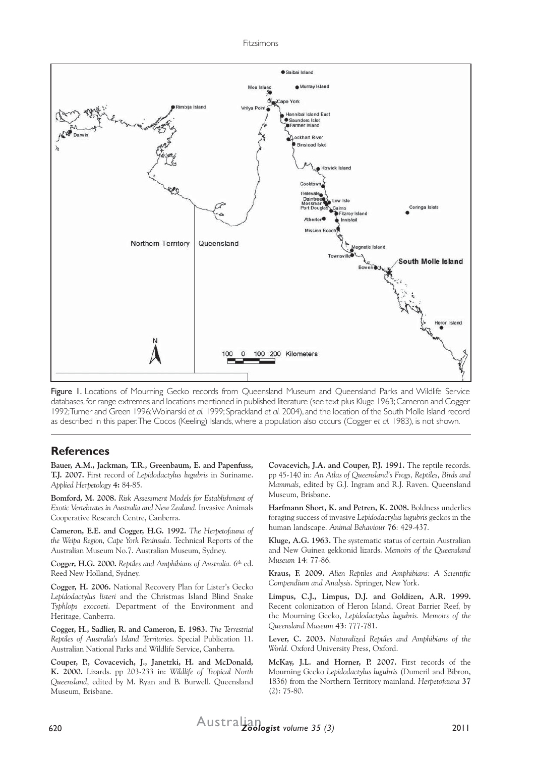

Figure 1. Locations of Mourning Gecko records from Oueensland Museum and Oueensland Parks and Wildlife Service databases, for range extremes and locations mentioned in published literature (see text plus Kluge 1963; Cameron and Cogger 1992; Turner and Green 1996; Woinarski *et al.* 1999; Sprackland *et al.* 2004), and the location of the South Molle Island record as described in this paper. The Cocos (Keeling) Islands, where a population also occurs (Cogger *et al.* 1983), is not shown.

#### **References**

**Bauer, A.M., Jackman, T.R., Greenbaum, E. and Papenfuss, T.J. 2007.** First record of *Lepidodactylus lugubris* in Suriname. *Applied Herpetology* **4:** 84-85.

**Bomford, M. 2008.** *Risk Assessment Models for Establishment of Exotic Vertebrates in Australia and New Zealand.* Invasive Animals Cooperative Research Centre, Canberra.

**Cameron, E.E. and Cogger, H.G. 1992.** *The Herpetofauna of the Weipa Region, Cape York Peninsula*. Technical Reports of the Australian Museum No.7. Australian Museum, Sydney.

**Cogger, H.G. 2000.** *Reptiles and Amphibians of Australia.* 6th ed. Reed New Holland, Sydney.

**Cogger, H. 2006.** National Recovery Plan for Lister's Gecko *Lepidodactylus listeri* and the Christmas Island Blind Snake *Typhlops exocoeti*. Department of the Environment and Heritage, Canberra.

**Cogger, H., Sadlier, R. and Cameron, E. 1983.** *The Terrestrial Reptiles of Australia's Island Territories*. Special Publication 11. Australian National Parks and Wildlife Service, Canberra.

**Couper, P., Covacevich, J., Janetzki, H. and McDonald, K. 2000.** Lizards. pp 203-233 in: *Wildlife of Tropical North Queensland*, edited by M. Ryan and B. Burwell. Queensland Museum, Brisbane.

**Covacevich, J.A. and Couper, P.J. 1991.** The reptile records. pp 45-140 in: *An Atlas of Queensland's Frogs, Reptiles, Birds and Mammals*, edited by G.J. Ingram and R.J. Raven. Queensland Museum, Brisbane.

**Harfmann Short, K. and Petren, K. 2008.** Boldness underlies foraging success of invasive *Lepidodactylus lugubris* geckos in the human landscape. *Animal Behaviour* **76**: 429-437.

**Kluge, A.G. 1963.** The systematic status of certain Australian and New Guinea gekkonid lizards. *Memoirs of the Queensland Museum* **14**: 77-86.

**Kraus, F. 2009.** *Alien Reptiles and Amphibians: A Scientific Compendium and Analysis*. Springer, New York.

**Limpus, C.J., Limpus, D.J. and Goldizen, A.R. 1999.** Recent colonization of Heron Island, Great Barrier Reef, by the Mourning Gecko, *Lepidodactylus lugubris. Memoirs of the Queensland Museum* **43**: 777-781.

**Lever, C. 2003.** *Naturalized Reptiles and Amphibians of the World.* Oxford University Press, Oxford.

**McKay, J.L. and Horner, P. 2007.** First records of the Mourning Gecko *Lepidodactylus lugubris* (Dumeril and Bibron, 1836) from the Northern Territory mainland. *Herpetofauna* **37**  $(2): 75-80.$